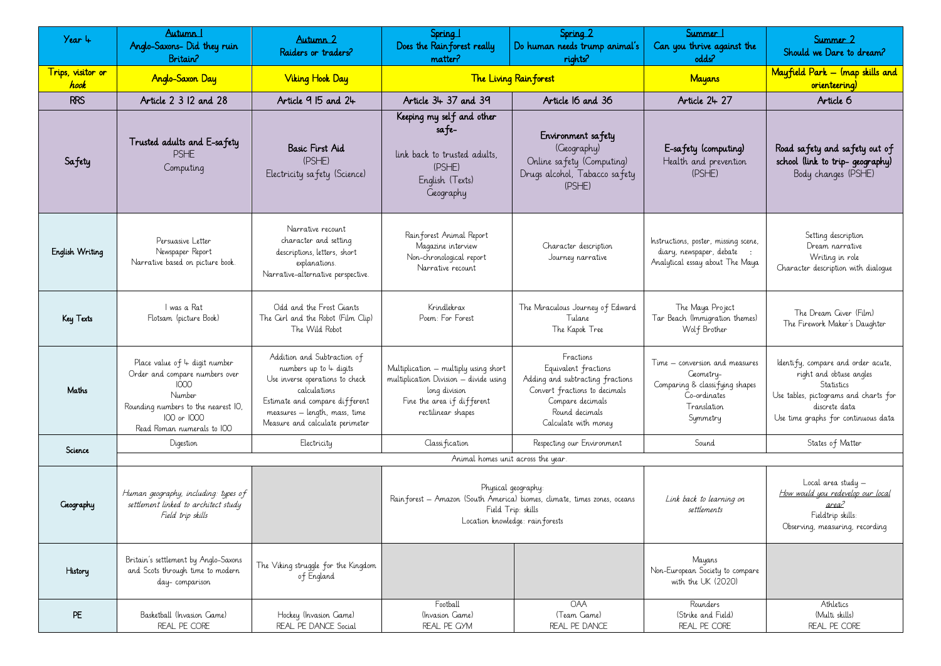| Year 4                    | Autumn 1<br>Anglo-Saxons- Did they ruin<br>Britain?                                                                                                                   | Autumn 2<br>Raiders or traders?                                                                                                                                                                                  | Spring 1<br>Does the Rainforest really<br>matter?                                                                                                         | Spring 2<br>Do human needs trump animal's<br>rights?                                                                                                                 | Summer 1<br>Can you thrive against the<br>odds?                                                                          | Summer 2<br>Should we Dare to dream?                                                                                                                                         |
|---------------------------|-----------------------------------------------------------------------------------------------------------------------------------------------------------------------|------------------------------------------------------------------------------------------------------------------------------------------------------------------------------------------------------------------|-----------------------------------------------------------------------------------------------------------------------------------------------------------|----------------------------------------------------------------------------------------------------------------------------------------------------------------------|--------------------------------------------------------------------------------------------------------------------------|------------------------------------------------------------------------------------------------------------------------------------------------------------------------------|
| Trips, visitor or<br>hook | <b>Anglo-Saxon Day</b>                                                                                                                                                | <b>Viking Hook Day</b>                                                                                                                                                                                           | <b>The Living Rain forest</b>                                                                                                                             |                                                                                                                                                                      | <b>Mayans</b>                                                                                                            | Mayfield Park - (map skills and<br>orienteering)                                                                                                                             |
| <b>RRS</b>                | Article 2 3 12 and 28                                                                                                                                                 | Article 9 15 and 24                                                                                                                                                                                              | Article 34 37 and 39                                                                                                                                      | Article I6 and 36                                                                                                                                                    | Article 24 27                                                                                                            | Article 6                                                                                                                                                                    |
| Safety                    | Trusted adults and E-safety<br><b>PSHE</b><br>Computing                                                                                                               | <b>Basic First Aid</b><br>(PSHE)<br>Electricity safety (Science)                                                                                                                                                 | Keeping my self and other<br>sa fe-<br>link back to trusted adults.<br>(PSHE)<br>English (Texts)<br>Geography                                             | Environment safety<br>(Geography)<br>Online safety (Computing)<br>Drugs alcohol, Tabacco safety<br>(PSHE)                                                            | E-safety (computing)<br>Health and prevention<br>(PSHE)                                                                  | Road safety and safety out of<br>school (link to trip-geography)<br>Body changes (PSHE)                                                                                      |
| English Writing           | Persuasive Letter<br>Newspaper Report<br>Narrative based on picture book.                                                                                             | Narrative recount<br>character and setting<br>descriptions, letters, short<br>explanations.<br>Narrative-alternative perspective.                                                                                | Rain forest Animal Report<br>Magazine interview<br>Non-chronological report<br>Narrative recount                                                          | Character description<br>Journey narrative                                                                                                                           | Instructions, poster, missing scene,<br>diary, newspaper, debate<br>Analytical essay about The Maya                      | Setting description<br>Dream narrative<br>Writing in role<br>Character description with dialoque                                                                             |
| Key Texts                 | I was a Rat<br>Flotsam (picture Book)                                                                                                                                 | Odd and the Frost Giants<br>The Cirl and the Robot (Film Clip)<br>The Wild Robot                                                                                                                                 | Krindlekrax<br>Poem: For Forest                                                                                                                           | The Miraculous Journey of Edward<br>Tulane<br>The Kapok Tree                                                                                                         | The Maya Project<br>Tar Beach (Immigration themes)<br>Wolf Brother                                                       | The Dream Giver (Film)<br>The Firework Maker's Daughter                                                                                                                      |
| Maths                     | Place value of 4 digit number<br>Order and compare numbers over<br>1000<br>Number<br>Rounding numbers to the nearest IO,<br>100 or 1000<br>Read Roman numerals to IOO | Addition and Subtraction of<br>numbers up to $4$ digits<br>Use inverse operations to check<br>calculations<br>Estimate and compare different<br>measures – length, mass, time<br>Measure and calculate perimeter | Multiplication – multiply using short<br>multiplication Division - divide using<br>long division<br>Fine the area if different<br>rectilinear shapes      | Fractions<br>Equivalent fractions<br>Adding and subtracting fractions<br>Convert fractions to decimals<br>Compare decimals<br>Round decimals<br>Calculate with money | Time – conversion and measures<br>Geometry-<br>Comparing & classifying shapes<br>Co-ordinates<br>Translation<br>Symmetry | Identify, compare and order acute,<br>right and obtuse angles<br>Statistics<br>Use tables, pictograms and charts for<br>discrete data<br>Use time graphs for continuous data |
| Science                   | Digestion                                                                                                                                                             | Electricity                                                                                                                                                                                                      | Classification                                                                                                                                            | Respecting our Environment                                                                                                                                           | Sound                                                                                                                    | States of Matter                                                                                                                                                             |
|                           |                                                                                                                                                                       |                                                                                                                                                                                                                  | Animal homes unit across the year.                                                                                                                        |                                                                                                                                                                      |                                                                                                                          |                                                                                                                                                                              |
| Geography                 | Human geography, including: types of<br>settlement linked to architect study<br>Field trip skills                                                                     |                                                                                                                                                                                                                  | Physical geography:<br>Rain forest - Amazon (South America) biomes, climate, times zones, oceans<br>Field Trip: skills<br>Location knowledge: rainforests |                                                                                                                                                                      | Link back to learning on<br>settlements                                                                                  | $Local area study -$<br>How would you redevelop our local<br>area?<br>Fieldtrip skills:<br>Observing, measuring, recording                                                   |
| History                   | Britain's settlement by Anglo-Saxons<br>and Scots through time to modern<br>day-comparison                                                                            | The Viking struggle for the Kingdom<br>of England                                                                                                                                                                |                                                                                                                                                           |                                                                                                                                                                      | Mayans<br>Non-European Society to compare<br>with the UK (2020)                                                          |                                                                                                                                                                              |
| <b>PE</b>                 | Basketball (Invasion Game)<br>REAL PE CORE                                                                                                                            | Hockey (Invasion Game)<br>REAL PE DANCE Social                                                                                                                                                                   | Football<br>(Invasion Game)<br>REAL PE GYM                                                                                                                | <b>OAA</b><br>(Team Game)<br>REAL PE DANCE                                                                                                                           | Rounders<br>(Strike and Field)<br>REAL PE CORE                                                                           | Athletics<br>(Multi skills)<br>REAL PE CORE                                                                                                                                  |